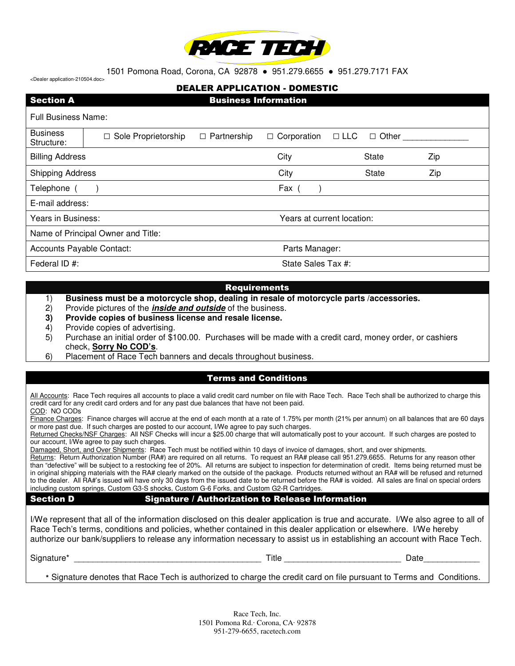

1501 Pomona Road, Corona, CA 92878 ● 951.279.6655 ● 951.279.7171 FAX <Dealer application-210504.doc>

DEALER APPLICATION - DOMESTIC

| <b>Section A</b>                   |                                                                                                        | <b>Business Information</b> |                            |              |     |  |  |  |  |  |
|------------------------------------|--------------------------------------------------------------------------------------------------------|-----------------------------|----------------------------|--------------|-----|--|--|--|--|--|
| <b>Full Business Name:</b>         |                                                                                                        |                             |                            |              |     |  |  |  |  |  |
| <b>Business</b><br>Structure:      | $\Box$ Partnership<br>$\Box$ Corporation<br>$\Box$ LLC<br>Sole Proprietorship<br>Other<br>П.<br>$\Box$ |                             |                            |              |     |  |  |  |  |  |
| <b>Billing Address</b>             |                                                                                                        |                             | City                       | <b>State</b> | Zip |  |  |  |  |  |
| <b>Shipping Address</b>            |                                                                                                        |                             | City                       | <b>State</b> | Zip |  |  |  |  |  |
| Telephone                          |                                                                                                        |                             | Fax                        |              |     |  |  |  |  |  |
| E-mail address:                    |                                                                                                        |                             |                            |              |     |  |  |  |  |  |
| Years in Business:                 |                                                                                                        |                             | Years at current location: |              |     |  |  |  |  |  |
| Name of Principal Owner and Title: |                                                                                                        |                             |                            |              |     |  |  |  |  |  |
| Accounts Payable Contact:          |                                                                                                        |                             | Parts Manager:             |              |     |  |  |  |  |  |
| Federal ID #:                      |                                                                                                        |                             | State Sales Tax #:         |              |     |  |  |  |  |  |

## Requirements

- 1) **Business must be a motorcycle shop, dealing in resale of motorcycle parts /accessories.**
- 2) Provide pictures of the **inside and outside** of the business.
- **3) Provide copies of business license and resale license.**
- 4) Provide copies of advertising.
- 5) Purchase an initial order of \$100.00. Purchases will be made with a credit card, money order, or cashiers check, **Sorry No COD's**.
- 6) Placement of Race Tech banners and decals throughout business.

## Terms and Conditions

All Accounts: Race Tech requires all accounts to place a valid credit card number on file with Race Tech. Race Tech shall be authorized to charge this credit card for any credit card orders and for any past due balances that have not been paid. COD: NO CODs

Finance Charges: Finance charges will accrue at the end of each month at a rate of 1.75% per month (21% per annum) on all balances that are 60 days or more past due. If such charges are posted to our account, I/We agree to pay such charges.

Returned Checks/NSF Charges: All NSF Checks will incur a \$25.00 charge that will automatically post to your account. If such charges are posted to our account, I/We agree to pay such charges.

Damaged, Short, and Over Shipments: Race Tech must be notified within 10 days of invoice of damages, short, and over shipments.

Returns: Return Authorization Number (RA#) are required on all returns. To request an RA# please call 951.279.6655. Returns for any reason other than "defective" will be subject to a restocking fee of 20%. All returns are subject to inspection for determination of credit. Items being returned must be in original shipping materials with the RA# clearly marked on the outside of the package. Products returned without an RA# will be refused and returned to the dealer. All RA#'s issued will have only 30 days from the issued date to be returned before the RA# is voided. All sales are final on special orders including custom springs, Custom G3-S shocks, Custom G-6 Forks, and Custom G2-R Cartridges.

Section D Signature / Authorization to Release Information

I/We represent that all of the information disclosed on this dealer application is true and accurate. I/We also agree to all of Race Tech's terms, conditions and policies, whether contained in this dealer application or elsewhere. I/We hereby authorize our bank/suppliers to release any information necessary to assist us in establishing an account with Race Tech.

Signature\* \_\_\_\_\_\_\_\_\_\_\_\_\_\_\_\_\_\_\_\_\_\_\_\_\_\_\_\_\_\_\_\_\_\_\_\_\_\_\_\_ Title \_\_\_\_\_\_\_\_\_\_\_\_\_\_\_\_\_\_\_\_\_\_\_\_\_ Date\_\_\_\_\_\_\_\_\_\_\_\_

\* Signature denotes that Race Tech is authorized to charge the credit card on file pursuant to Terms and Conditions.

Race Tech, Inc. 1501 Pomona Rd.∙ Corona, CA∙ 92878 951-279-6655, racetech.com